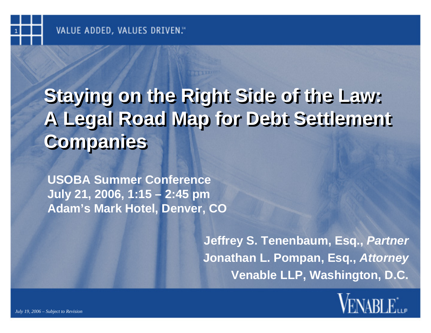# **Staying on the Right Side of the Law: Staying on the Right Side of the Law: A Legal Road Map for Debt Settlement A Legal Road Map for Debt Settlement Companies Companies**

**USOBA Summer Conference July 21, 2006, 1:15 – 2:45 pm Adam's Mark Hotel, Denver, CO**

> **Jeffrey S. Tenenbaum, Esq.,** *Partner* **Jonathan L. Pompan, Esq.,** *Attorney* **Venable LLP, Washington, D.C.**

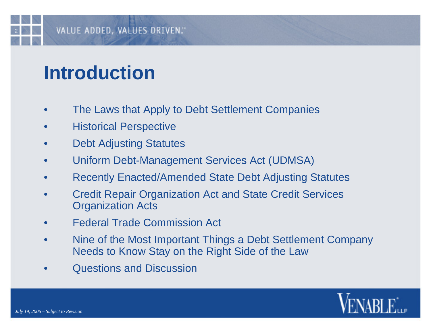# **Introduction**

- •The Laws that Apply to Debt Settlement Companies
- •Historical Perspective
- •Debt Adjusting Statutes
- •Uniform Debt-Management Services Act (UDMSA)
- •Recently Enacted/Amended State Debt Adjusting Statutes
- • Credit Repair Organization Act and State Credit Services Organization Acts
- •Federal Trade Commission Act
- • Nine of the Most Important Things a Debt Settlement Company Needs to Know Stay on the Right Side of the Law
- •Questions and Discussion

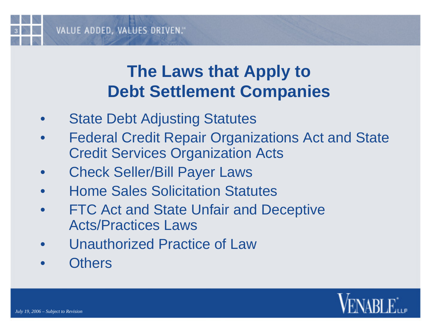#### **The Laws that Apply to Debt Settlement Companies**

- $\bullet$ State Debt Adjusting Statutes
- $\bullet$  Federal Credit Repair Organizations Act and State Credit Services Organization Acts
- $\bullet$ Check Seller/Bill Payer Laws
- $\bullet$ Home Sales Solicitation Statutes
- $\bullet$  FTC Act and State Unfair and Deceptive Acts/Practices Laws
- $\bullet$ Unauthorized Practice of Law
- $\bullet$ **Others**

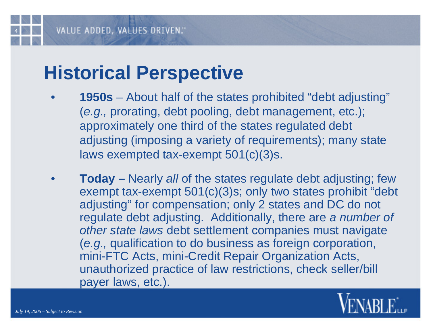# **Historical Perspective**

- • **1950s** – About half of the states prohibited "debt adjusting" (*e.g.,* prorating, debt pooling, debt management, etc.); approximately one third of the states regulated debt adjusting (imposing a variety of requirements); many state laws exempted tax-exempt 501(c)(3)s.
- • **Today –** Nearly *all* of the states regulate debt adjusting; few exempt tax-exempt 501(c)(3)s; only two states prohibit "debt adjusting" for compensation; only 2 states and DC do not regulate debt adjusting. Additionally, there are *a number of other state laws* debt settlement companies must navigate (*e.g.,* qualification to do business as foreign corporation, mini-FTC Acts, mini-Credit Repair Organization Acts, unauthorized practice of law restrictions, check seller/bill payer laws, etc.).

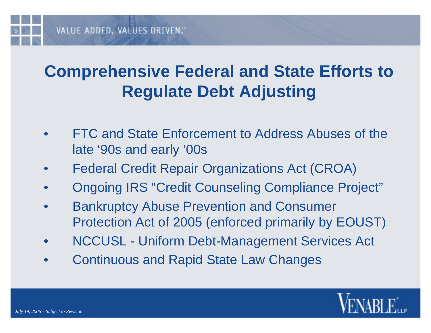## **Comprehensive Federal and State Efforts to Regulate Debt Adjusting**

- • FTC and State Enforcement to Address Abuses of the late '90s and early '00s
- •Federal Credit Repair Organizations Act (CROA)
- •Ongoing IRS "Credit Counseling Compliance Project"
- $\bullet$  Bankruptcy Abuse Prevention and Consumer Protection Act of 2005 (enforced primarily by EOUST)
- •NCCUSL - Uniform Debt-Management Services Act
- $\bullet$ Continuous and Rapid State Law Changes

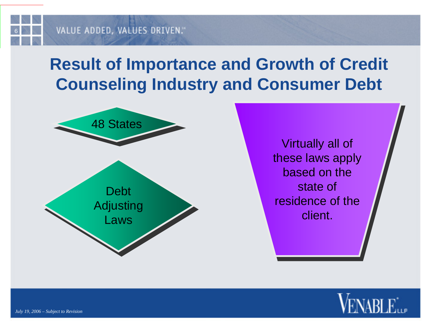### **Result of Importance and Growth of Credit Counseling Industry and Consumer Debt**



Virtually all of Virtually all of these laws apply these laws apply based on the based on the state of state of residence of the residence of the client. client.

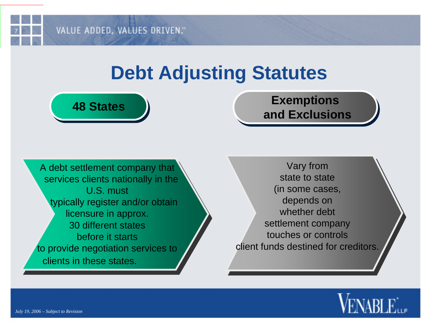## **Debt Adjusting Statutes**

# **Exemptions and Exclusions Exemptions and Exclusions**

A debt settlement company that A debt settlement company that services clients nationally in the services clients nationally in the U.S. must U.S. must typically register and/or obtain typically register and/or obtain licensure in approx. licensure in approx. 30 different states before it starts to provide negotiation services to to provide negotiation services to clients in these states.

**48 States 48 States**

Vary from Vary from state to state (in some cases, (in some cases, depends on depends on whether debt settlement company settlement company touches or controls client funds destined for creditors.  $\overline{\phantom{\alpha}}$ 

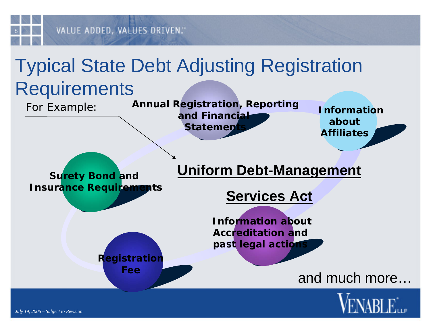

# Typical State Debt Adjusting Registration

# **Requirements**

For Example:

**Annual Registration, Reporting and Financial Statement** 

**Information about Affiliates**

#### **Uniform Debt-Management**

**Surety Bond and Insurance Requirements**

#### **Services Act**

**Information about Accreditation and past legal actions**

#### and much more…



**Registration Fee**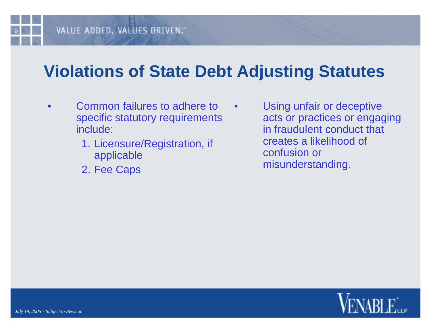#### **Violations of State Debt Adjusting Statutes**

•

- • Common failures to adhere to specific statutory requirements include:
	- 1. Licensure/Registration, if applicable
	- 2. Fee Caps

 Using unfair or deceptive acts or practices or engaging in fraudulent conduct that creates a likelihood of confusion or misunderstanding.

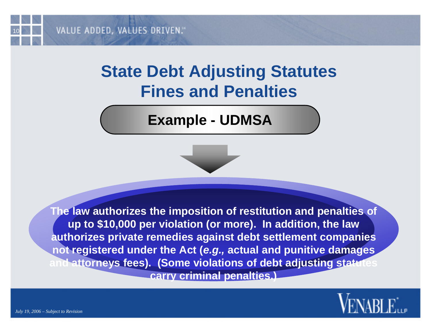#### **State Debt Adjusting Statutes Fines and Penalties**

#### **Example - UDMSA**

**The law authorizes the imposition of restitution and penalties of up to \$10,000 per violation (or more). In addition, the law authorizes private remedies against debt settlement companies not registered under the Act (***e.g.,* **actual and punitive damages nd attorneys fees). (Some violations of debt adjusting statu carry criminal penalties.)**

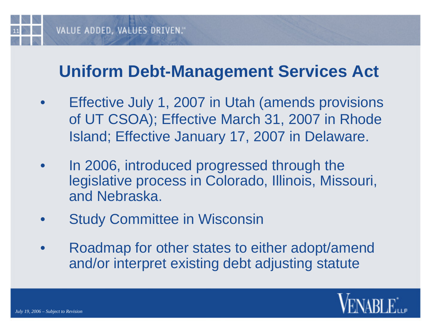

#### **Uniform Debt-Management Services Act**

- $\bullet$  Effective July 1, 2007 in Utah (amends provisions of UT CSOA); Effective March 31, 2007 in Rhode Island; Effective January 17, 2007 in Delaware.
- $\bullet$  In 2006, introduced progressed through the legislative process in Colorado, Illinois, Missouri, and Nebraska.
- $\bullet$ Study Committee in Wisconsin
- $\bullet$  Roadmap for other states to either adopt/amend and/or interpret existing debt adjusting statute

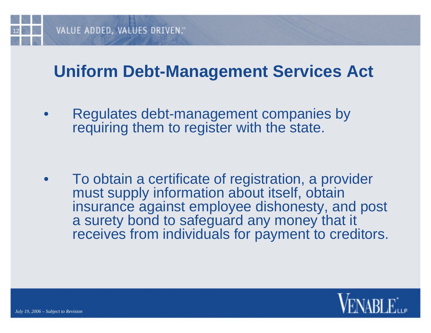

#### **Uniform Debt-Management Services Act**

• Regulates debt-management companies by requiring them to register with the state.

 $\bullet$  To obtain a certificate of registration, a provider must supply information about itself, obtain insurance against employee dishonesty, and post a surety bond to safeguard any money that it receives from individuals for payment to creditors.

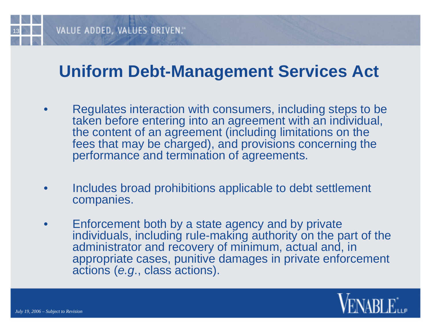#### VALUE ADDED, VALUES DRIVEN."

#### **Uniform Debt-Management Services Act**

- • Regulates interaction with consumers, including steps to be taken before entering into an agreement with an individual, the content of an agreement (including limitations on the fees that may be charged), and provisions concerning the performance and termination of agreements.
- • Includes broad prohibitions applicable to debt settlement companies.
- • Enforcement both by a state agency and by private individuals, including rule-making authority on the part of the administrator and recovery of minimum, actual and, in appropriate cases, punitive damages in private enforcement actions (*e.g*., class actions).

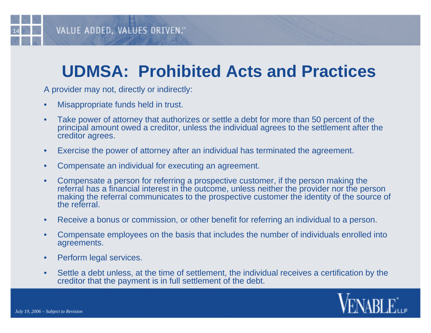#### **UDMSA: Prohibited Acts and Practices**

A provider may not, directly or indirectly:

- •Misappropriate funds held in trust.
- • Take power of attorney that authorizes or settle a debt for more than 50 percent of the principal amount owed a creditor, unless the individual agrees to the settlement after the creditor agrees.
- •Exercise the power of attorney after an individual has terminated the agreement.
- •Compensate an individual for executing an agreement.
- • Compensate a person for referring a prospective customer, if the person making the referral has a financial interest in the outcome, unless neither the provider nor the person making the referral communicates to the prospective customer the identity of the source of the referral.
- •Receive a bonus or commission, or other benefit for referring an individual to a person.
- • Compensate employees on the basis that includes the number of individuals enrolled into agreements.
- •Perform legal services.
- • Settle a debt unless, at the time of settlement, the individual receives a certification by the creditor that the payment is in full settlement of the debt.

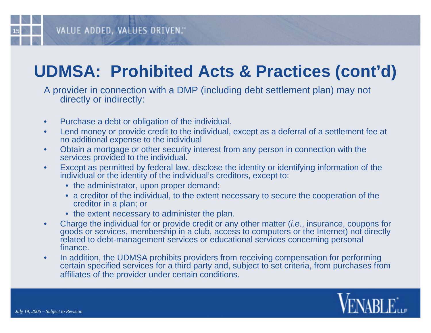## **UDMSA: Prohibited Acts & Practices (cont'd)**

A provider in connection with a DMP (including debt settlement plan) may not directly or indirectly:

- •Purchase a debt or obligation of the individual.
- • Lend money or provide credit to the individual, except as a deferral of a settlement fee at no additional expense to the individual
- • Obtain a mortgage or other security interest from any person in connection with the services provided to the individual.
- • Except as permitted by federal law, disclose the identity or identifying information of the individual or the identity of the individual's creditors, except to:
	- the administrator, upon proper demand;
	- a creditor of the individual, to the extent necessary to secure the cooperation of the creditor in a plan; or
	- the extent necessary to administer the plan.
- • Charge the individual for or provide credit or any other matter (*i.e*., insurance, coupons for goods or services, membership in a club, access to computers or the Internet) not directly related to debt-management services or educational services concerning personal finance.
- • In addition, the UDMSA prohibits providers from receiving compensation for performing certain specified services for a third party and, subject to set criteria, from purchases from affiliates of the provider under certain conditions.

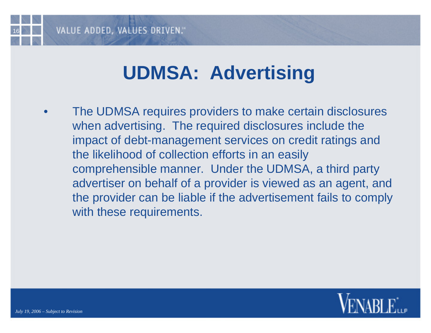# **UDMSA: Advertising**

• The UDMSA requires providers to make certain disclosures when advertising. The required disclosures include the impact of debt-management services on credit ratings and the likelihood of collection efforts in an easily comprehensible manner. Under the UDMSA, a third party advertiser on behalf of a provider is viewed as an agent, and the provider can be liable if the advertisement fails to comply with these requirements.

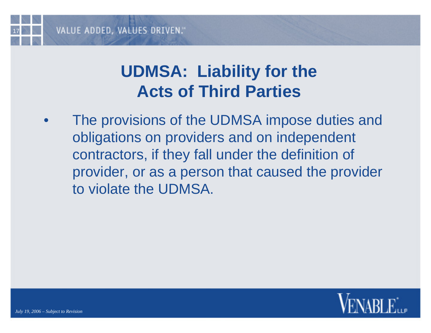#### **UDMSA: Liability for the Acts of Third Parties**

• The provisions of the UDMSA impose duties and obligations on providers and on independent contractors, if they fall under the definition of provider, or as a person that caused the provider to violate the UDMSA.

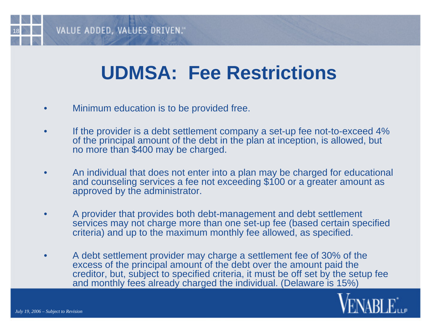# **UDMSA: Fee Restrictions**

- •Minimum education is to be provided free.
- • If the provider is a debt settlement company a set-up fee not-to-exceed 4% of the principal amount of the debt in the plan at inception, is allowed, but no more than \$400 may be charged.
- • An individual that does not enter into a plan may be charged for educational and counseling services a fee not exceeding \$100 or a greater amount as approved by the administrator.
- • A provider that provides both debt-management and debt settlement services may not charge more than one set-up fee (based certain specified criteria) and up to the maximum monthly fee allowed, as specified.
- • A debt settlement provider may charge a settlement fee of 30% of the excess of the principal amount of the debt over the amount paid the creditor, but, subject to specified criteria, it must be off set by the setup fee and monthly fees already charged the individual. (Delaware is 15%)

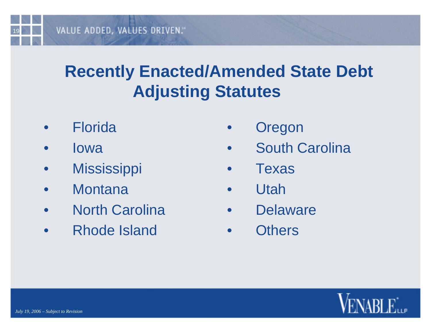## **Recently Enacted/Amended State Debt Adjusting Statutes**

- $\bullet$ Florida
- $\bullet$ Iowa
- •**Mississippi**
- $\bullet$ **Montana**
- $\bullet$ North Carolina
- $\bullet$ Rhode Island
- $\bullet$ **Oregon**
- $\bullet$ South Carolina
- $\bullet$ Texas
- $\bullet$ Utah
- $\bullet$ **Delaware**
- $\bullet$ **Others**

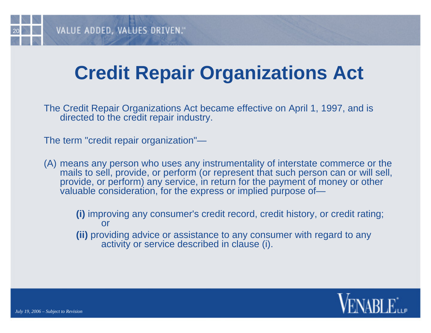# **Credit Repair Organizations Act**

The Credit Repair Organizations Act became effective on April 1, 1997, and is directed to the credit repair industry.

The term "credit repair organization"—

(A) means any person who uses any instrumentality of interstate commerce or the mails to sell, provide, or perform (or represent that such person can or will sell, provide, or perform) any service, in return for the payment of money or other valuable consideration, for the express or implied purpose of—

**(i)** improving any consumer's credit record, credit history, or credit rating; or

**(ii)** providing advice or assistance to any consumer with regard to any activity or service described in clause (i).

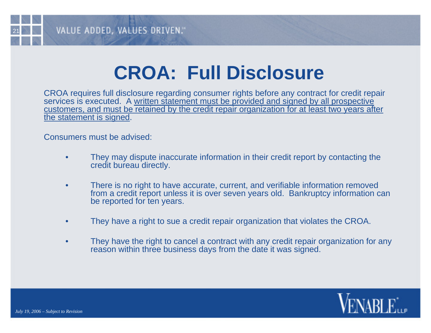# **CROA: Full Disclosure**

CROA requires full disclosure regarding consumer rights before any contract for credit repair services is executed. A written statement must be provided and signed by all prospective customers, and must be retained by the credit repair organization for at least two years after the statement is signed.

Consumers must be advised:

- • They may dispute inaccurate information in their credit report by contacting the credit bureau directly.
- • There is no right to have accurate, current, and verifiable information removed from a credit report unless it is over seven years old. Bankruptcy information can be reported for ten years.
- •They have a right to sue a credit repair organization that violates the CROA.
- • They have the right to cancel a contract with any credit repair organization for any reason within three business days from the date it was signed.

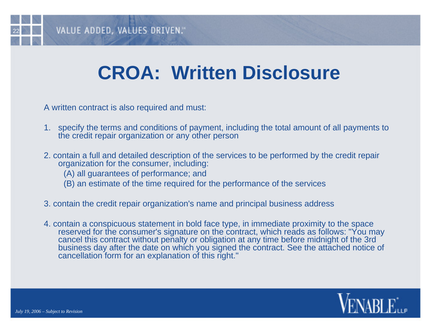# **CROA: Written Disclosure**

A written contract is also required and must:

- 1. specify the terms and conditions of payment, including the total amount of all payments to the credit repair organization or any other person
- 2. contain a full and detailed description of the services to be performed by the credit repair organization for the consumer, including:
	- (A) all guarantees of performance; and
	- (B) an estimate of the time required for the performance of the services
- 3. contain the credit repair organization's name and principal business address
- 4. contain a conspicuous statement in bold face type, in immediate proximity to the space reserved for the consumer's signature on the contract, which reads as follows: "You may cancel this contract without penalty or obligation at any time before midnight of the 3rd business day after the date on which you signed the contract. See the attached notice of cancellation form for an explanation of this right."

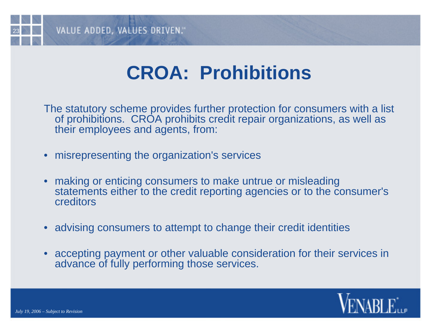# **CROA: Prohibitions**

The statutory scheme provides further protection for consumers with a list of prohibitions. CROA prohibits credit repair organizations, as well as their employees and agents, from:

- misrepresenting the organization's services
- • making or enticing consumers to make untrue or misleading statements either to the credit reporting agencies or to the consumer's creditors
- advising consumers to attempt to change their credit identities
- accepting payment or other valuable consideration for their services in advance of fully performing those services.

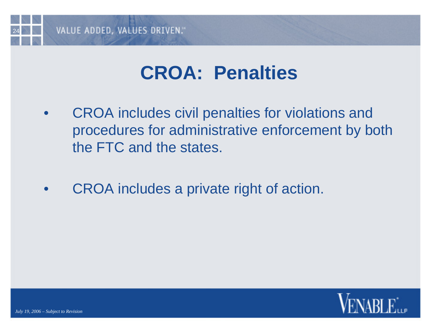

## **CROA: Penalties**

- • CROA includes civil penalties for violations and procedures for administrative enforcement by both the FTC and the states.
- $\bullet$ CROA includes a private right of action.

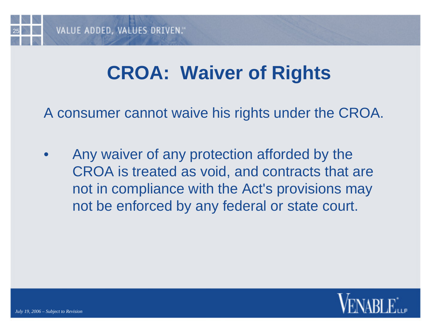# **CROA: Waiver of Rights**

A consumer cannot waive his rights under the CROA.

 $\bullet$  Any waiver of any protection afforded by the CROA is treated as void, and contracts that are not in compliance with the Act's provisions may not be enforced by any federal or state court.

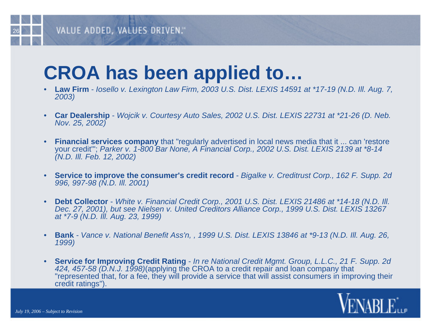#### VALUE ADDED, VALUES DRIVEN."

# **CROA has been applied to…**

- • **Law Firm** - *Iosello v. Lexington Law Firm, 2003 U.S. Dist. LEXIS 14591 at \*17-19 (N.D. Ill. Aug. 7, 2003)*
- • **Car Dealership** - *Wojcik v. Courtesy Auto Sales, 2002 U.S. Dist. LEXIS 22731 at \*21-26 (D. Neb. Nov. 25, 2002)*
- • **Financial services company** that "regularly advertised in local news media that it ... can 'restore your credit'"; *Parker v. 1-800 Bar None, A Financial Corp., 2002 U.S. Dist. LEXIS 2139 at \*8-14 (N.D. Ill. Feb. 12, 2002)*
- • **Service to improve the consumer's credit record** - *Bigalke v. Creditrust Corp., 162 F. Supp. 2d 996, 997-98 (N.D. Ill. 2001)*
- • **Debt Collector** - *White v. Financial Credit Corp., 2001 U.S. Dist. LEXIS 21486 at \*14-18 (N.D. Ill. Dec. 27, 2001), but see Nielsen v. United Creditors Alliance Corp., 1999 U.S. Dist. LEXIS 13267 at \*7-9 (N.D. Ill. Aug. 23, 1999)*
- • **Bank** *- Vance v. National Benefit Ass'n, , 1999 U.S. Dist. LEXIS 13846 at \*9-13 (N.D. Ill. Aug. 26, 1999)*
- • **Service for Improving Credit Rating** - *In re National Credit Mgmt. Group, L.L.C., 21 F. Supp. 2d 424, 457-58 (D.N.J. 1998)*(applying the CROA to a credit repair and loan company that "represented that, for a fee, they will provide a service that will assist consumers in improving their credit ratings").

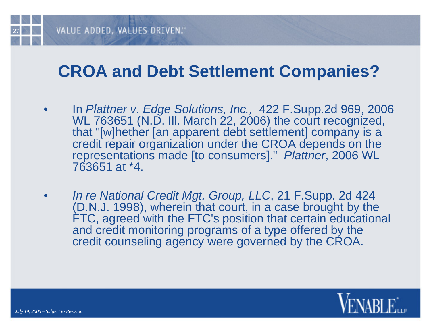#### **CROA and Debt Settlement Companies?**

- • In *Plattner v. Edge Solutions, Inc.,* 422 F.Supp.2d 969, 2006 WL 763651 (N.D. III. March 22, 2006) the court recognized, that "[w]hether [an apparent debt settlement] company is a credit repair organization under the CROA depends on the representations made [to consumers]." *Plattner*, 2006 WL 763651 at \*4.
- • *In re National Credit Mgt. Group, LLC*, 21 F.Supp. 2d 424 (D.N.J. 1998), wherein that court, in a case brought by the FTC, agreed with the FTC's position that certain educational and credit monitoring programs of a type offered by the credit counseling agency were governed by the CROA.

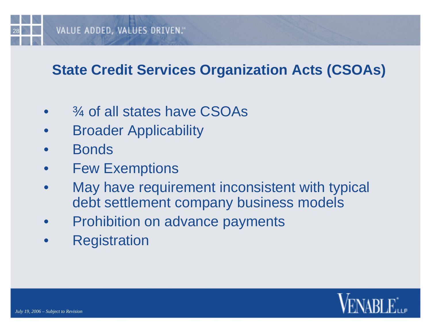#### VALUE ADDED, VALUES DRIVEN."

#### **State Credit Services Organization Acts (CSOAs)**

- •¾ of all states have CSOAs
- $\bullet$ Broader Applicability
- $\bullet$ **Bonds**
- •Few Exemptions
- • May have requirement inconsistent with typical debt settlement company business models
- $\bullet$ Prohibition on advance payments
- $\bullet$ **Registration**

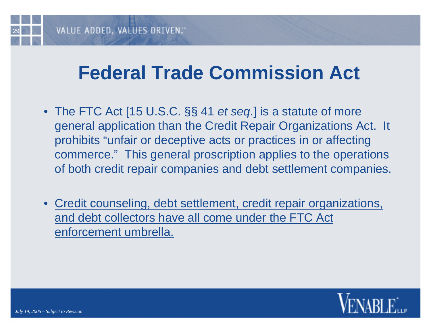## **Federal Trade Commission Act**

- The FTC Act [15 U.S.C. §§ 41 *et seq*.] is a statute of more general application than the Credit Repair Organizations Act. It prohibits "unfair or deceptive acts or practices in or affecting commerce." This general proscription applies to the operations of both credit repair companies and debt settlement companies.
- Credit counseling, debt settlement, credit repair organizations, and debt collectors have all come under the FTC Act enforcement umbrella.

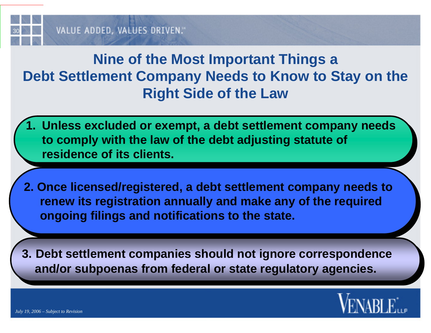#### **Nine of the Most Important Things a Debt Settlement Company Needs to Know to Stay on the Right Side of the Law**

- **1. Unless excluded or exempt, a debt settlement company needs 1. Unless excluded or exempt, a debt settlement company needs to comply with the law of the debt adjusting statute of to comply with the law of the debt adjusting statute of residence of its clients. residence of its clients.**
- **2. Once licensed/registered, a debt settlement company needs to 2. Once licensed/registered, a debt settlement company needs to renew its registration annually and make any of the required renew its registration annually and make any of the required ongoing filings and notifications to the state. ongoing filings and notifications to the state.**
- **3. Debt settlement companies should not ignore correspondence 3. Debt settlement companies should not ignore correspondence and/or subpoenas from federal or state regulatory agencies. and/or subpoenas from federal or state regulatory agencies.**

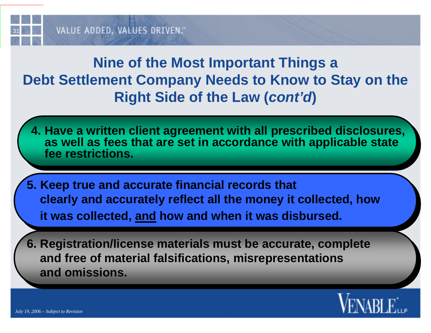

#### **Nine of the Most Important Things a Debt Settlement Company Needs to Know to Stay on the Right Side of the Law (***cont'd***)**

- **4. Have a written client agreement with all prescribed disclosures, 4. Have a written client agreement with all prescribed disclosures, as well as fees that are set in accordance with applicable state as well as fees that are set in accordance with applicable state fee restrictions. fee restrictions.**
- **5. Keep true and accurate financial records that 5. Keep true and accurate financial records that clearly and accurately reflect all the money it collected, how clearly and accurately reflect all the money it collected, how it was collected, and how and when it was disbursed. it was collected, and how and when it was disbursed.**
- **6. Registration/license materials must be accurate, complete 6. Registration/license materials must be accurate, complete and free of material falsifications, misrepresentations and free of material falsifications, misrepresentations and omissions. and omissions.**

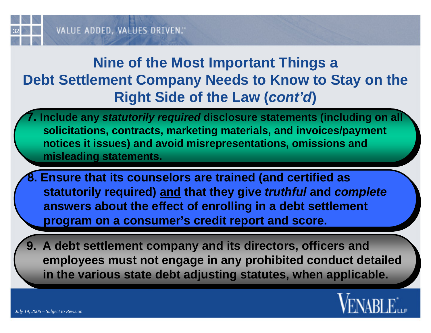#### **Nine of the Most Important Things a Debt Settlement Company Needs to Know to Stay on the Right Side of the Law (***cont'd***)**

- **7. Include any** *statutorily required* **disclosure statements (including on all 7. Include any** *statutorily required* **disclosure statements (including on all solicitations, contracts, marketing materials, and invoices/payment solicitations, contracts, marketing materials, and invoices/payment notices it issues) and avoid misrepresentations, omissions and notices it issues) and avoid misrepresentations, omissions and misleading statements. misleading statements.**
- **8. Ensure that its counselors are trained (and certified as 8. Ensure that its counselors are trained (and certified as statutorily required) and that they give** *truthful* **and** *complete* **statutorily required) and that they give** *truthful* **and** *complete* **answers about the effect of enrolling in a debt settlement answers about the effect of enrolling in a debt settlement program on a consumer's credit report and score. program on a consumer's credit report and score.**
- **9. A debt settlement company and its directors, officers and 9. A debt settlement company and its directors, officers and employees must not engage in any prohibited conduct detailed employees must not engage in any prohibited conduct detailed in the various state debt adjusting statutes, when applicable. in the various state debt adjusting statutes, when applicable.**